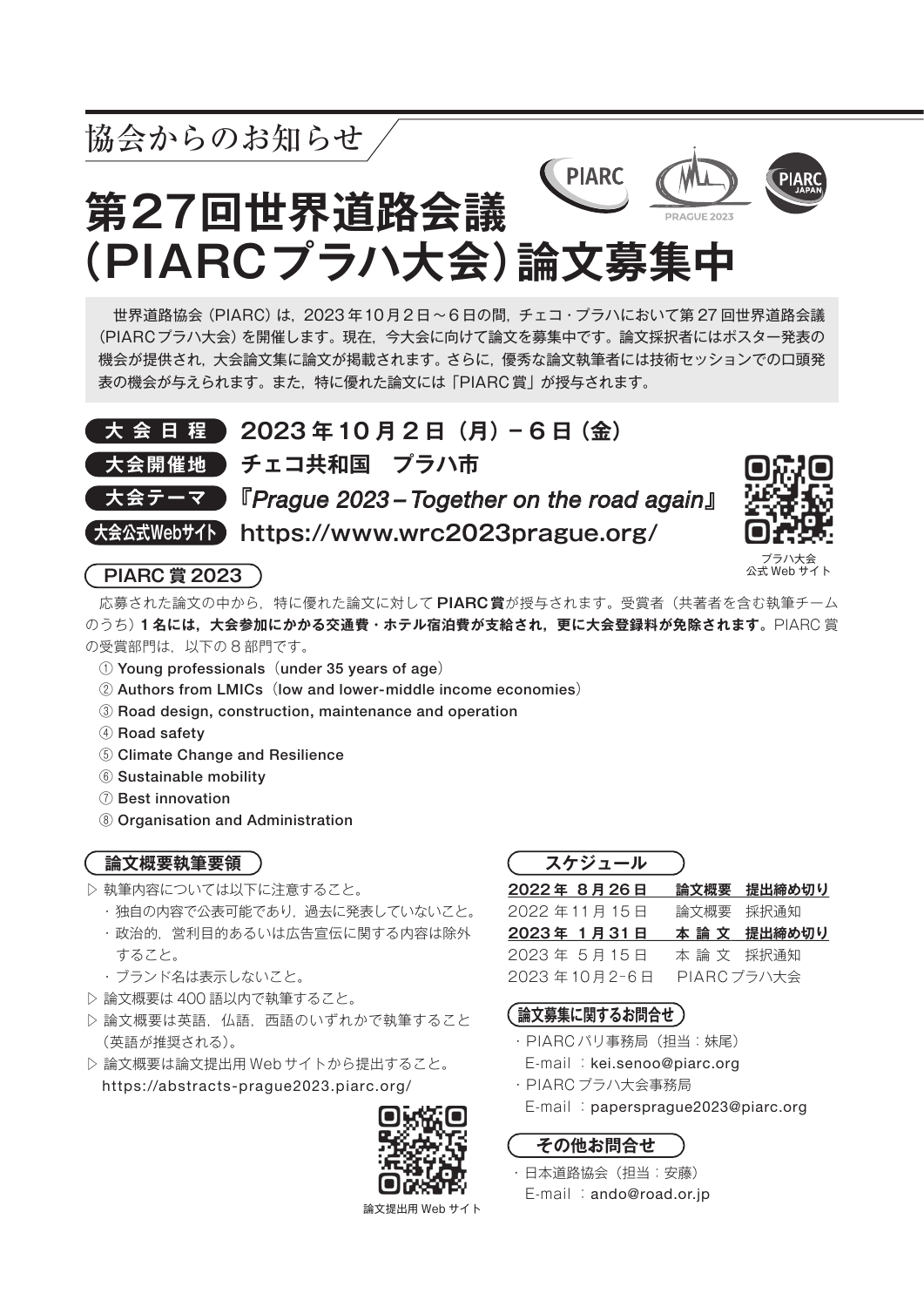

 応募された論文の中から,特に優れた論文に対して **PIARC賞**が授与されます。受賞者(共著者を含む執筆チーム のうち)**1 名には,大会参加にかかる交通費・ホテル宿泊費が支給され,更に大会登録料が免除されます。**PIARC 賞 の受賞部門は,以下の 8 部門です。

- ① Young professionals(under 35 years of age)
- ② Authors from LMICs(low and lower-middle income economies)
- ③ Road design, construction, maintenance and operation
- ④ Road safety
- ⑤ Climate Change and Resilience
- ⑥ Sustainable mobility
- ⑦ Best innovation
- ⑧ Organisation and Administration

## **論文概要執筆要領**

- ▷ 執筆内容については以下に注意すること。
	- ・独自の内容で公表可能であり,過去に発表していないこと。 ・政治的,営利目的あるいは広告宣伝に関する内容は除外 すること。
	- ・ブランド名は表示しないこと。
- ▷ 論文概要は 400 語以内で執筆すること。
- ▷ 論文概要は英語,仏語,西語のいずれかで執筆すること (英語が推奨される)。
- ▷ 論文概要は論文提出用 Webサイトから提出すること。 https://abstracts-prague2023.piarc.org/



論文提出用 Web サイト

| 2022年8月26日   |            | 論文概要 提出締め切り  |
|--------------|------------|--------------|
| 2022年11月15日  | 論文概要 採択通知  |              |
| 2023年 1月31日  |            | 本 論 文 提出締め切り |
| 2023年5月15日   | 本 論 文の採択通知 |              |
| 2023年10月2-6日 |            | PIARC プラハ大会  |

## **論文募集に関するお問合せ**

- ・PIARC パリ事務局(担当:妹尾) E-mail :kei.senoo@piarc.org
- ・PIARC プラハ大会事務局
	- E-mail :papersprague2023@piarc.org

**その他お問合せ**

・日本道路協会(担当:安藤) E-mail :ando@road.or.jp